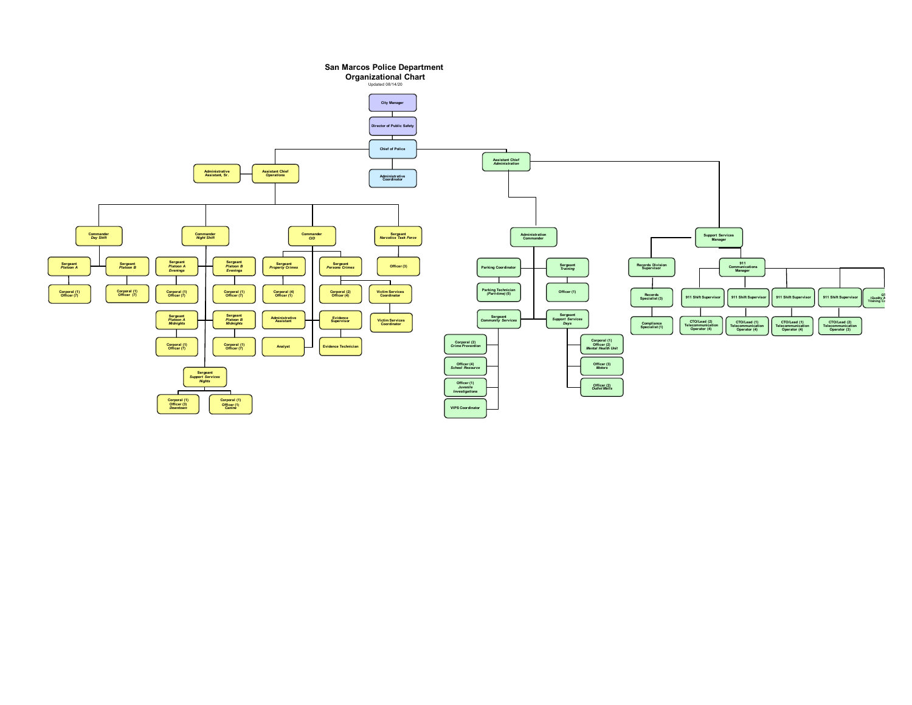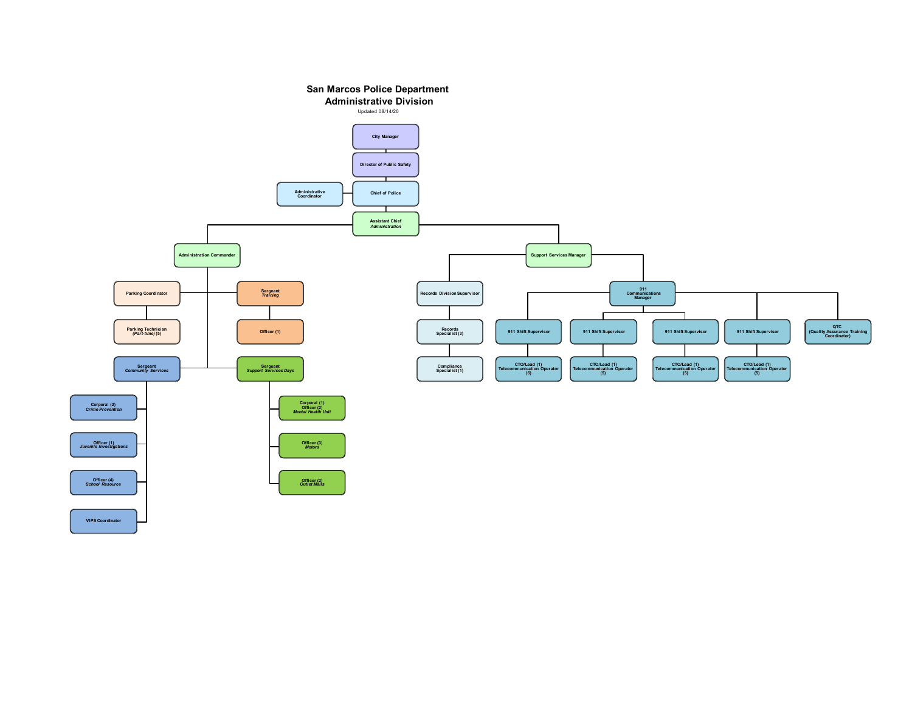